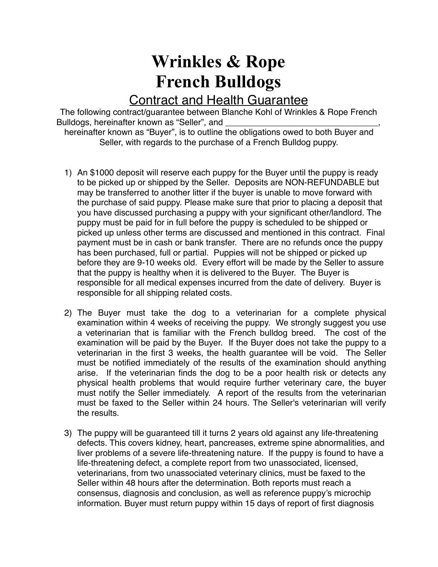## **Wrinkles & Rope French Bulldogs**

## Contract and Health Guarantee

The following contract/guarantee between Blanche Kohl of Wrinkles & Rope French Bulldogs, hereinafter known as "Seller", and

hereinafter known as "Buyer", is to outline the obligations owed to both Buyer and Seller, with regards to the purchase of a French Bulldog puppy.

- 1) An \$1000 deposit will reserve each puppy for the Buyer until the puppy is ready to be picked up or shipped by the Seller. Deposits are NON-REFUNDABLE but may be transferred to another litter if the buyer is unable to move forward with the purchase of said puppy. Please make sure that prior to placing a deposit that you have discussed purchasing a puppy with your significant other/landlord. The puppy must be paid for in full before the puppy is scheduled to be shipped or picked up unless other terms are discussed and mentioned in this contract. Final payment must be in cash or bank transfer. There are no refunds once the puppy has been purchased, full or partial. Puppies will not be shipped or picked up before they are 9-10 weeks old. Every effort will be made by the Seller to assure that the puppy is healthy when it is delivered to the Buyer. The Buyer is responsible for all medical expenses incurred from the date of delivery. Buyer is responsible for all shipping related costs.
- 2) The Buyer must take the dog to a veterinarian for a complete physical examination within 4 weeks of receiving the puppy. We strongly suggest you use a veterinarian that is familiar with the French bulldog breed. The cost of the examination will be paid by the Buyer. If the Buyer does not take the puppy to a veterinarian in the first 3 weeks, the health guarantee will be void. The Seller must be notified immediately of the results of the examination should anything arise. If the veterinarian finds the dog to be a poor health risk or detects any physical health problems that would require further veterinary care, the buyer must notify the Seller immediately. A report of the results from the veterinarian must be faxed to the Seller within 24 hours. The Seller's veterinarian will verify the results.
- 3) The puppy will be guaranteed till it turns 2 years old against any life-threatening defects. This covers kidney, heart, pancreases, extreme spine abnormalities, and liver problems of a severe life-threatening nature. If the puppy is found to have a life-threatening defect, a complete report from two unassociated, licensed, veterinarians, from two unassociated veterinary clinics, must be faxed to the Seller within 48 hours after the determination. Both reports must reach a consensus, diagnosis and conclusion, as well as reference puppy's microchip information. Buyer must return puppy within 15 days of report of first diagnosis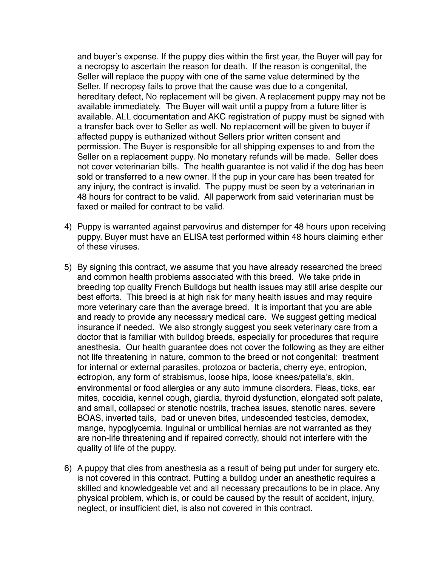and buyer's expense. If the puppy dies within the first year, the Buyer will pay for a necropsy to ascertain the reason for death. If the reason is congenital, the Seller will replace the puppy with one of the same value determined by the Seller. If necropsy fails to prove that the cause was due to a congenital, hereditary defect, No replacement will be given. A replacement puppy may not be available immediately. The Buyer will wait until a puppy from a future litter is available. ALL documentation and AKC registration of puppy must be signed with a transfer back over to Seller as well. No replacement will be given to buyer if affected puppy is euthanized without Sellers prior written consent and permission. The Buyer is responsible for all shipping expenses to and from the Seller on a replacement puppy. No monetary refunds will be made. Seller does not cover veterinarian bills. The health guarantee is not valid if the dog has been sold or transferred to a new owner. If the pup in your care has been treated for any injury, the contract is invalid. The puppy must be seen by a veterinarian in 48 hours for contract to be valid. All paperwork from said veterinarian must be faxed or mailed for contract to be valid.

- 4) Puppy is warranted against parvovirus and distemper for 48 hours upon receiving puppy. Buyer must have an ELISA test performed within 48 hours claiming either of these viruses.
- 5) By signing this contract, we assume that you have already researched the breed and common health problems associated with this breed. We take pride in breeding top quality French Bulldogs but health issues may still arise despite our best efforts. This breed is at high risk for many health issues and may require more veterinary care than the average breed. It is important that you are able and ready to provide any necessary medical care. We suggest getting medical insurance if needed. We also strongly suggest you seek veterinary care from a doctor that is familiar with bulldog breeds, especially for procedures that require anesthesia. Our health guarantee does not cover the following as they are either not life threatening in nature, common to the breed or not congenital: treatment for internal or external parasites, protozoa or bacteria, cherry eye, entropion, ectropion, any form of strabismus, loose hips, loose knees/patella's, skin, environmental or food allergies or any auto immune disorders. Fleas, ticks, ear mites, coccidia, kennel cough, giardia, thyroid dysfunction, elongated soft palate, and small, collapsed or stenotic nostrils, trachea issues, stenotic nares, severe BOAS, inverted tails, bad or uneven bites, undescended testicles, demodex, mange, hypoglycemia. Inguinal or umbilical hernias are not warranted as they are non-life threatening and if repaired correctly, should not interfere with the quality of life of the puppy.
- 6) A puppy that dies from anesthesia as a result of being put under for surgery etc. is not covered in this contract. Putting a bulldog under an anesthetic requires a skilled and knowledgeable vet and all necessary precautions to be in place. Any physical problem, which is, or could be caused by the result of accident, injury, neglect, or insufficient diet, is also not covered in this contract.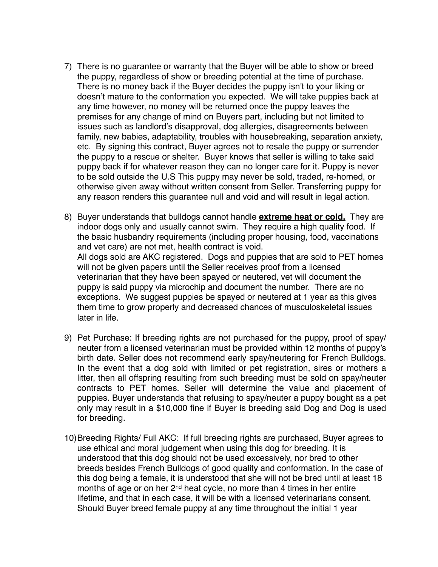- 7) There is no guarantee or warranty that the Buyer will be able to show or breed the puppy, regardless of show or breeding potential at the time of purchase. There is no money back if the Buyer decides the puppy isn't to your liking or doesn't mature to the conformation you expected. We will take puppies back at any time however, no money will be returned once the puppy leaves the premises for any change of mind on Buyers part, including but not limited to issues such as landlord's disapproval, dog allergies, disagreements between family, new babies, adaptability, troubles with housebreaking, separation anxiety, etc. By signing this contract, Buyer agrees not to resale the puppy or surrender the puppy to a rescue or shelter. Buyer knows that seller is willing to take said puppy back if for whatever reason they can no longer care for it. Puppy is never to be sold outside the U.S This puppy may never be sold, traded, re-homed, or otherwise given away without written consent from Seller. Transferring puppy for any reason renders this guarantee null and void and will result in legal action.
- 8) Buyer understands that bulldogs cannot handle **extreme heat or cold.** They are indoor dogs only and usually cannot swim. They require a high quality food. If the basic husbandry requirements (including proper housing, food, vaccinations and vet care) are not met, health contract is void. All dogs sold are AKC registered. Dogs and puppies that are sold to PET homes will not be given papers until the Seller receives proof from a licensed veterinarian that they have been spayed or neutered, vet will document the puppy is said puppy via microchip and document the number. There are no exceptions. We suggest puppies be spayed or neutered at 1 year as this gives them time to grow properly and decreased chances of musculoskeletal issues later in life.
- 9) Pet Purchase: If breeding rights are not purchased for the puppy, proof of spay/ neuter from a licensed veterinarian must be provided within 12 months of puppy's birth date. Seller does not recommend early spay/neutering for French Bulldogs. In the event that a dog sold with limited or pet registration, sires or mothers a litter, then all offspring resulting from such breeding must be sold on spay/neuter contracts to PET homes. Seller will determine the value and placement of puppies. Buyer understands that refusing to spay/neuter a puppy bought as a pet only may result in a \$10,000 fine if Buyer is breeding said Dog and Dog is used for breeding.
- 10)Breeding Rights/ Full AKC: If full breeding rights are purchased, Buyer agrees to use ethical and moral judgement when using this dog for breeding. It is understood that this dog should not be used excessively, nor bred to other breeds besides French Bulldogs of good quality and conformation. In the case of this dog being a female, it is understood that she will not be bred until at least 18 months of age or on her 2nd heat cycle, no more than 4 times in her entire lifetime, and that in each case, it will be with a licensed veterinarians consent. Should Buyer breed female puppy at any time throughout the initial 1 year